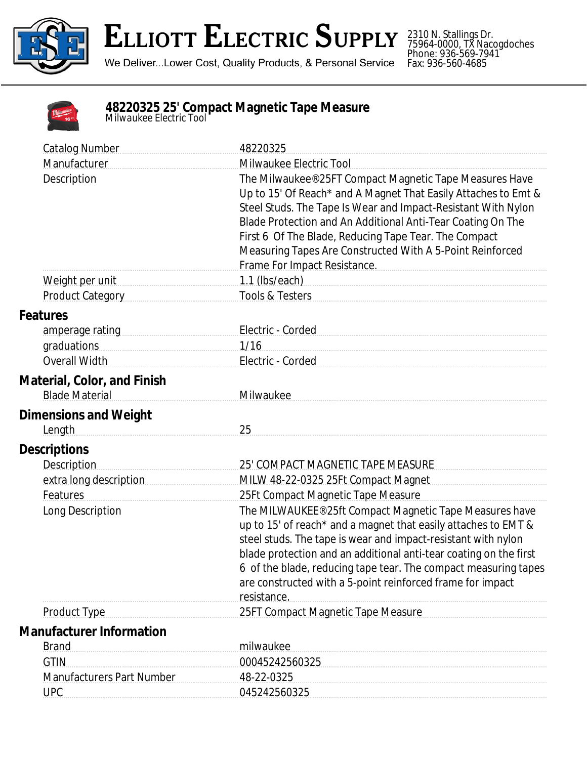

## **ELLIOTT ELECTRIC SUPPLY**

We Deliver...Lower Cost, Quality Products, & Personal Service

2310 N. Stallings Dr. 75964-0000, TX Nacogdoches Phone: 936-569-7941 Fax: 936-560-4685

| 16' |
|-----|
|     |

## **48220325 25' Compact Magnetic Tape Measure** *Milwaukee Electric Tool*

| <b>Catalog Number</b>                                                                                          | 48220325                                                                                                                                                                                                                                                                                                                                                                                                        |  |  |
|----------------------------------------------------------------------------------------------------------------|-----------------------------------------------------------------------------------------------------------------------------------------------------------------------------------------------------------------------------------------------------------------------------------------------------------------------------------------------------------------------------------------------------------------|--|--|
| Manufacturer                                                                                                   | Milwaukee Electric Tool                                                                                                                                                                                                                                                                                                                                                                                         |  |  |
| Description                                                                                                    | The Milwaukee® 25FT Compact Magnetic Tape Measures Have<br>Up to 15' Of Reach* and A Magnet That Easily Attaches to Emt &<br>Steel Studs. The Tape Is Wear and Impact-Resistant With Nylon<br>Blade Protection and An Additional Anti-Tear Coating On The<br>First 6 Of The Blade, Reducing Tape Tear. The Compact<br>Measuring Tapes Are Constructed With A 5-Point Reinforced<br>Frame For Impact Resistance. |  |  |
| Weight per unit                                                                                                |                                                                                                                                                                                                                                                                                                                                                                                                                 |  |  |
| Product Category                                                                                               | Tools & Testers <b>Manual</b>                                                                                                                                                                                                                                                                                                                                                                                   |  |  |
| <b>Features</b>                                                                                                |                                                                                                                                                                                                                                                                                                                                                                                                                 |  |  |
| amperage rating measurements are all the same and all the same sense and all the same sense are all the same s | Electric - Corded Manuel Allen Cordea Manuel Allen Cordea Manuel Allen Cordea Manuel Allen Cordea Manuel Allen                                                                                                                                                                                                                                                                                                  |  |  |
| graduations compared and all and all and all and all and all and all and all and all and all and all and all a | 1/16                                                                                                                                                                                                                                                                                                                                                                                                            |  |  |
| Overall Width                                                                                                  | Electric - Corded                                                                                                                                                                                                                                                                                                                                                                                               |  |  |
| <b>Material, Color, and Finish</b><br><b>Blade Material</b>                                                    | Milwaukee                                                                                                                                                                                                                                                                                                                                                                                                       |  |  |
| <b>Dimensions and Weight</b><br>Length                                                                         | 25                                                                                                                                                                                                                                                                                                                                                                                                              |  |  |
| <b>Descriptions</b>                                                                                            |                                                                                                                                                                                                                                                                                                                                                                                                                 |  |  |
| <b>Description</b>                                                                                             | 25' COMPACT MAGNETIC TAPE MEASURE                                                                                                                                                                                                                                                                                                                                                                               |  |  |
| extra long description                                                                                         | MILW 48-22-0325 25Ft Compact Magnet                                                                                                                                                                                                                                                                                                                                                                             |  |  |
| Features                                                                                                       | 25Ft Compact Magnetic Tape Measure                                                                                                                                                                                                                                                                                                                                                                              |  |  |
| Long Description                                                                                               | The MILWAUKEE® 25ft Compact Magnetic Tape Measures have<br>up to 15' of reach* and a magnet that easily attaches to EMT &<br>steel studs. The tape is wear and impact-resistant with nylon<br>blade protection and an additional anti-tear coating on the first<br>6 of the blade, reducing tape tear. The compact measuring tapes<br>are constructed with a 5-point reinforced frame for impact<br>resistance. |  |  |
| <b>Product Type</b>                                                                                            | 25FT Compact Magnetic Tape Measure                                                                                                                                                                                                                                                                                                                                                                              |  |  |
| <b>Manufacturer Information</b>                                                                                |                                                                                                                                                                                                                                                                                                                                                                                                                 |  |  |
| <b>Brand</b>                                                                                                   | milwaukee                                                                                                                                                                                                                                                                                                                                                                                                       |  |  |
| <b>GTIN</b>                                                                                                    | 00045242560325                                                                                                                                                                                                                                                                                                                                                                                                  |  |  |
| <b>Manufacturers Part Number</b>                                                                               | 48-22-0325                                                                                                                                                                                                                                                                                                                                                                                                      |  |  |
| <b>UPC</b>                                                                                                     | 045242560325                                                                                                                                                                                                                                                                                                                                                                                                    |  |  |